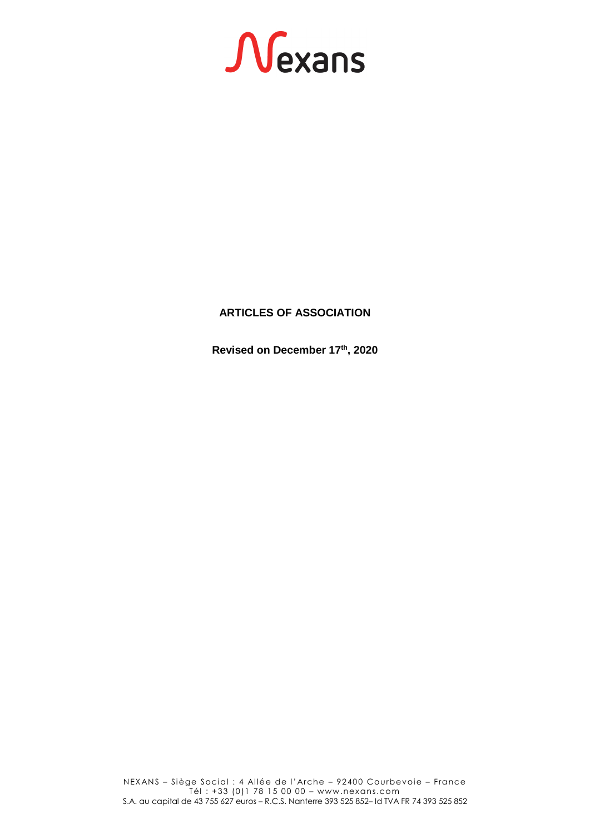# Nexans

# **ARTICLES OF ASSOCIATION**

**Revised on December 17 th, 2020**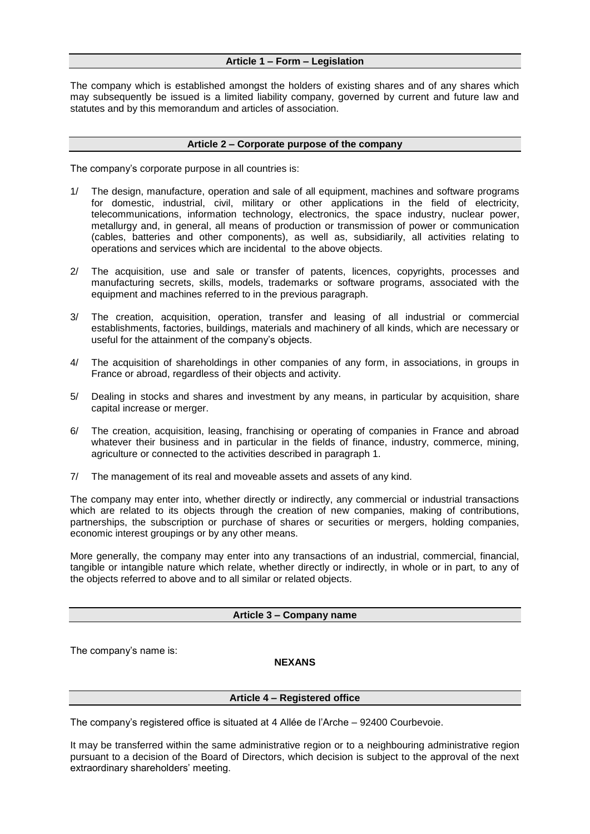# **Article 1 – Form – Legislation**

The company which is established amongst the holders of existing shares and of any shares which may subsequently be issued is a limited liability company, governed by current and future law and statutes and by this memorandum and articles of association.

### **Article 2 – Corporate purpose of the company**

The company's corporate purpose in all countries is:

- 1/ The design, manufacture, operation and sale of all equipment, machines and software programs for domestic, industrial, civil, military or other applications in the field of electricity, telecommunications, information technology, electronics, the space industry, nuclear power, metallurgy and, in general, all means of production or transmission of power or communication (cables, batteries and other components), as well as, subsidiarily, all activities relating to operations and services which are incidental to the above objects.
- 2/ The acquisition, use and sale or transfer of patents, licences, copyrights, processes and manufacturing secrets, skills, models, trademarks or software programs, associated with the equipment and machines referred to in the previous paragraph.
- 3/ The creation, acquisition, operation, transfer and leasing of all industrial or commercial establishments, factories, buildings, materials and machinery of all kinds, which are necessary or useful for the attainment of the company's objects.
- 4/ The acquisition of shareholdings in other companies of any form, in associations, in groups in France or abroad, regardless of their objects and activity.
- 5/ Dealing in stocks and shares and investment by any means, in particular by acquisition, share capital increase or merger.
- 6/ The creation, acquisition, leasing, franchising or operating of companies in France and abroad whatever their business and in particular in the fields of finance, industry, commerce, mining, agriculture or connected to the activities described in paragraph 1.
- 7/ The management of its real and moveable assets and assets of any kind.

The company may enter into, whether directly or indirectly, any commercial or industrial transactions which are related to its objects through the creation of new companies, making of contributions, partnerships, the subscription or purchase of shares or securities or mergers, holding companies, economic interest groupings or by any other means.

More generally, the company may enter into any transactions of an industrial, commercial, financial, tangible or intangible nature which relate, whether directly or indirectly, in whole or in part, to any of the objects referred to above and to all similar or related objects.

# **Article 3 – Company name**

The company's name is:

# **NEXANS**

### **Article 4 – Registered office**

The company's registered office is situated at 4 Allée de l'Arche – 92400 Courbevoie.

It may be transferred within the same administrative region or to a neighbouring administrative region pursuant to a decision of the Board of Directors, which decision is subject to the approval of the next extraordinary shareholders' meeting.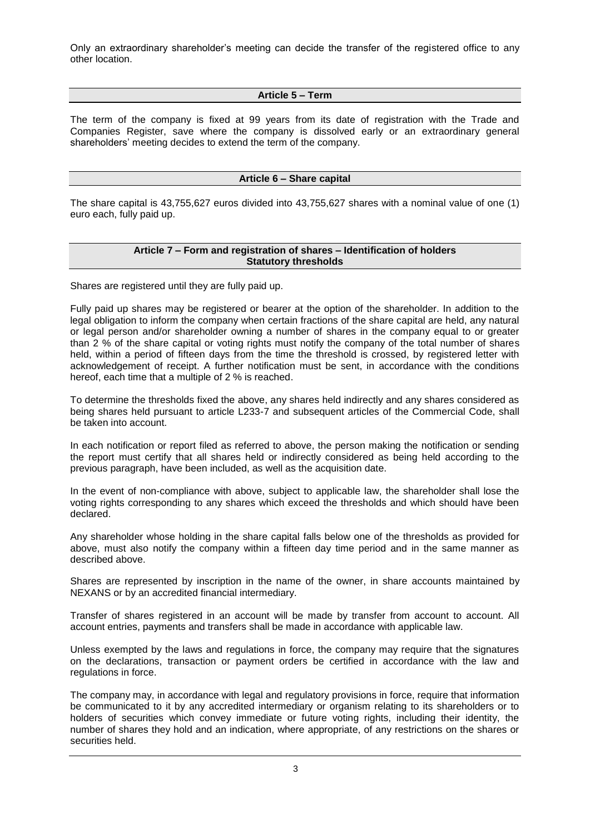Only an extraordinary shareholder's meeting can decide the transfer of the registered office to any other location.

# **Article 5 – Term**

The term of the company is fixed at 99 years from its date of registration with the Trade and Companies Register, save where the company is dissolved early or an extraordinary general shareholders' meeting decides to extend the term of the company.

# **Article 6 – Share capital**

The share capital is 43,755,627 euros divided into 43,755,627 shares with a nominal value of one (1) euro each, fully paid up.

# **Article 7 – Form and registration of shares – Identification of holders Statutory thresholds**

Shares are registered until they are fully paid up.

Fully paid up shares may be registered or bearer at the option of the shareholder. In addition to the legal obligation to inform the company when certain fractions of the share capital are held, any natural or legal person and/or shareholder owning a number of shares in the company equal to or greater than 2 % of the share capital or voting rights must notify the company of the total number of shares held, within a period of fifteen days from the time the threshold is crossed, by registered letter with acknowledgement of receipt. A further notification must be sent, in accordance with the conditions hereof, each time that a multiple of 2 % is reached.

To determine the thresholds fixed the above, any shares held indirectly and any shares considered as being shares held pursuant to article L233-7 and subsequent articles of the Commercial Code, shall be taken into account.

In each notification or report filed as referred to above, the person making the notification or sending the report must certify that all shares held or indirectly considered as being held according to the previous paragraph, have been included, as well as the acquisition date.

In the event of non-compliance with above, subject to applicable law, the shareholder shall lose the voting rights corresponding to any shares which exceed the thresholds and which should have been declared.

Any shareholder whose holding in the share capital falls below one of the thresholds as provided for above, must also notify the company within a fifteen day time period and in the same manner as described above.

Shares are represented by inscription in the name of the owner, in share accounts maintained by NEXANS or by an accredited financial intermediary.

Transfer of shares registered in an account will be made by transfer from account to account. All account entries, payments and transfers shall be made in accordance with applicable law.

Unless exempted by the laws and regulations in force, the company may require that the signatures on the declarations, transaction or payment orders be certified in accordance with the law and regulations in force.

The company may, in accordance with legal and regulatory provisions in force, require that information be communicated to it by any accredited intermediary or organism relating to its shareholders or to holders of securities which convey immediate or future voting rights, including their identity, the number of shares they hold and an indication, where appropriate, of any restrictions on the shares or securities held.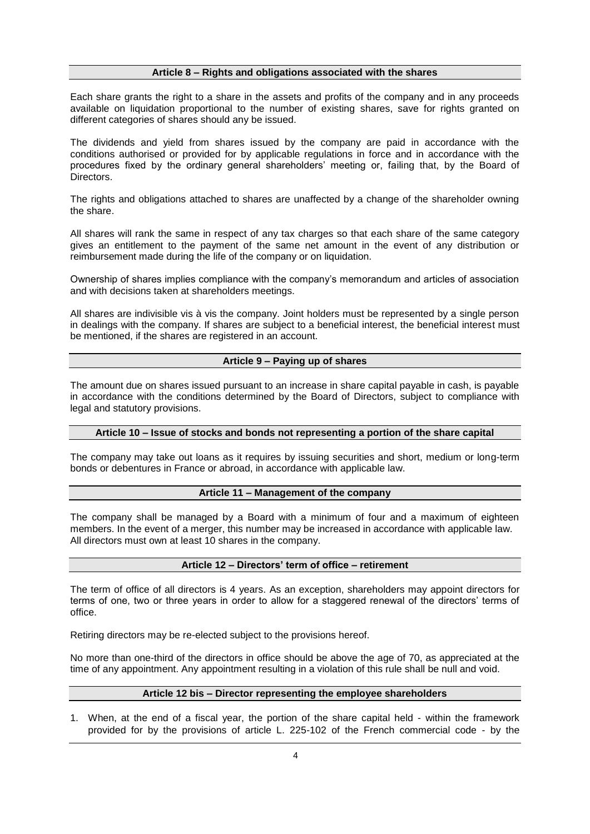# **Article 8 – Rights and obligations associated with the shares**

Each share grants the right to a share in the assets and profits of the company and in any proceeds available on liquidation proportional to the number of existing shares, save for rights granted on different categories of shares should any be issued.

The dividends and yield from shares issued by the company are paid in accordance with the conditions authorised or provided for by applicable regulations in force and in accordance with the procedures fixed by the ordinary general shareholders' meeting or, failing that, by the Board of Directors.

The rights and obligations attached to shares are unaffected by a change of the shareholder owning the share.

All shares will rank the same in respect of any tax charges so that each share of the same category gives an entitlement to the payment of the same net amount in the event of any distribution or reimbursement made during the life of the company or on liquidation.

Ownership of shares implies compliance with the company's memorandum and articles of association and with decisions taken at shareholders meetings.

All shares are indivisible vis à vis the company. Joint holders must be represented by a single person in dealings with the company. If shares are subject to a beneficial interest, the beneficial interest must be mentioned, if the shares are registered in an account.

# **Article 9 – Paying up of shares**

The amount due on shares issued pursuant to an increase in share capital payable in cash, is payable in accordance with the conditions determined by the Board of Directors, subject to compliance with legal and statutory provisions.

### **Article 10 – Issue of stocks and bonds not representing a portion of the share capital**

The company may take out loans as it requires by issuing securities and short, medium or long-term bonds or debentures in France or abroad, in accordance with applicable law.

### **Article 11 – Management of the company**

The company shall be managed by a Board with a minimum of four and a maximum of eighteen members. In the event of a merger, this number may be increased in accordance with applicable law. All directors must own at least 10 shares in the company.

### **Article 12 – Directors' term of office – retirement**

The term of office of all directors is 4 years. As an exception, shareholders may appoint directors for terms of one, two or three years in order to allow for a staggered renewal of the directors' terms of office.

Retiring directors may be re-elected subject to the provisions hereof.

No more than one-third of the directors in office should be above the age of 70, as appreciated at the time of any appointment. Any appointment resulting in a violation of this rule shall be null and void.

### **Article 12 bis – Director representing the employee shareholders**

1. When, at the end of a fiscal year, the portion of the share capital held - within the framework provided for by the provisions of article L. 225-102 of the French commercial code - by the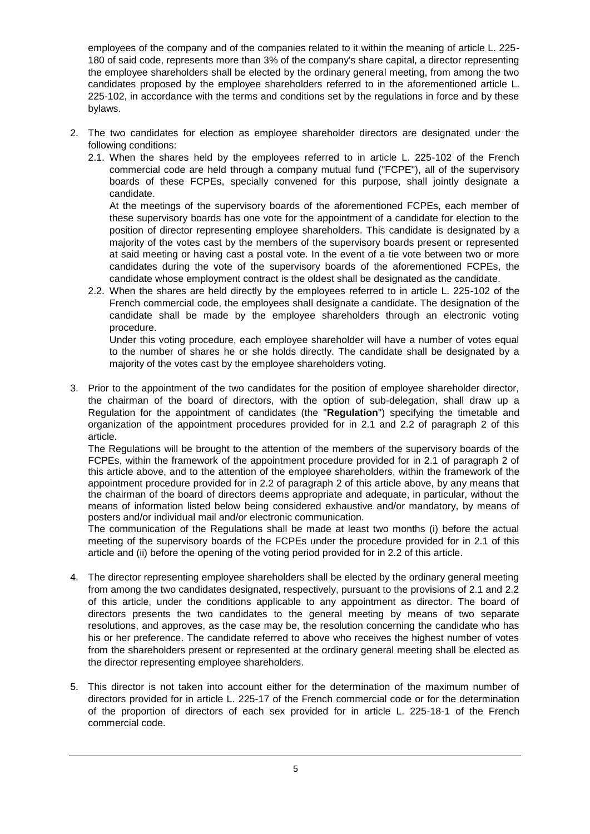employees of the company and of the companies related to it within the meaning of article L. 225- 180 of said code, represents more than 3% of the company's share capital, a director representing the employee shareholders shall be elected by the ordinary general meeting, from among the two candidates proposed by the employee shareholders referred to in the aforementioned article L. 225-102, in accordance with the terms and conditions set by the regulations in force and by these bylaws.

- 2. The two candidates for election as employee shareholder directors are designated under the following conditions:
	- 2.1. When the shares held by the employees referred to in article L. 225-102 of the French commercial code are held through a company mutual fund ("FCPE"), all of the supervisory boards of these FCPEs, specially convened for this purpose, shall jointly designate a candidate.

At the meetings of the supervisory boards of the aforementioned FCPEs, each member of these supervisory boards has one vote for the appointment of a candidate for election to the position of director representing employee shareholders. This candidate is designated by a majority of the votes cast by the members of the supervisory boards present or represented at said meeting or having cast a postal vote. In the event of a tie vote between two or more candidates during the vote of the supervisory boards of the aforementioned FCPEs, the candidate whose employment contract is the oldest shall be designated as the candidate.

2.2. When the shares are held directly by the employees referred to in article L. 225-102 of the French commercial code, the employees shall designate a candidate. The designation of the candidate shall be made by the employee shareholders through an electronic voting procedure.

Under this voting procedure, each employee shareholder will have a number of votes equal to the number of shares he or she holds directly. The candidate shall be designated by a majority of the votes cast by the employee shareholders voting.

3. Prior to the appointment of the two candidates for the position of employee shareholder director, the chairman of the board of directors, with the option of sub-delegation, shall draw up a Regulation for the appointment of candidates (the "**Regulation**") specifying the timetable and organization of the appointment procedures provided for in 2.1 and 2.2 of paragraph 2 of this article.

The Regulations will be brought to the attention of the members of the supervisory boards of the FCPEs, within the framework of the appointment procedure provided for in 2.1 of paragraph 2 of this article above, and to the attention of the employee shareholders, within the framework of the appointment procedure provided for in 2.2 of paragraph 2 of this article above, by any means that the chairman of the board of directors deems appropriate and adequate, in particular, without the means of information listed below being considered exhaustive and/or mandatory, by means of posters and/or individual mail and/or electronic communication.

The communication of the Regulations shall be made at least two months (i) before the actual meeting of the supervisory boards of the FCPEs under the procedure provided for in 2.1 of this article and (ii) before the opening of the voting period provided for in 2.2 of this article.

- 4. The director representing employee shareholders shall be elected by the ordinary general meeting from among the two candidates designated, respectively, pursuant to the provisions of 2.1 and 2.2 of this article, under the conditions applicable to any appointment as director. The board of directors presents the two candidates to the general meeting by means of two separate resolutions, and approves, as the case may be, the resolution concerning the candidate who has his or her preference. The candidate referred to above who receives the highest number of votes from the shareholders present or represented at the ordinary general meeting shall be elected as the director representing employee shareholders.
- 5. This director is not taken into account either for the determination of the maximum number of directors provided for in article L. 225-17 of the French commercial code or for the determination of the proportion of directors of each sex provided for in article L. 225-18-1 of the French commercial code.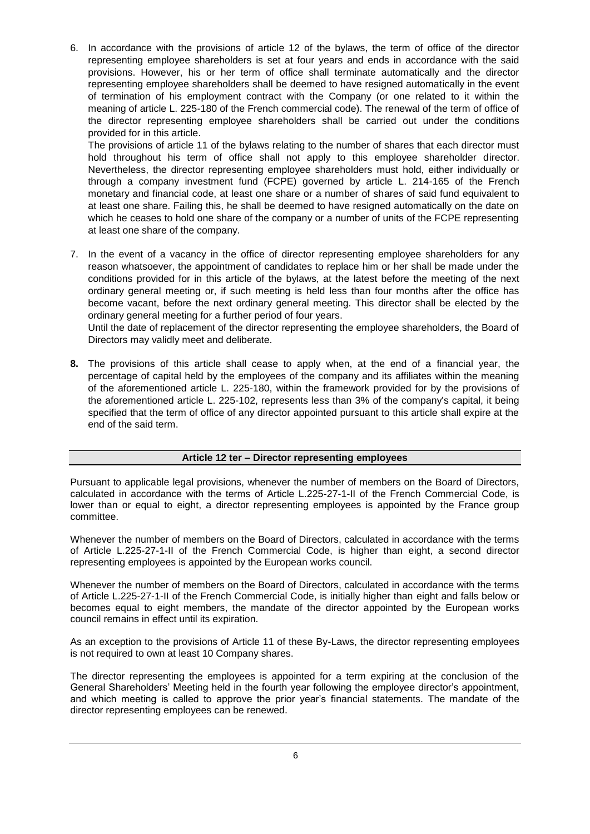6. In accordance with the provisions of article 12 of the bylaws, the term of office of the director representing employee shareholders is set at four years and ends in accordance with the said provisions. However, his or her term of office shall terminate automatically and the director representing employee shareholders shall be deemed to have resigned automatically in the event of termination of his employment contract with the Company (or one related to it within the meaning of article L. 225-180 of the French commercial code). The renewal of the term of office of the director representing employee shareholders shall be carried out under the conditions provided for in this article.

The provisions of article 11 of the bylaws relating to the number of shares that each director must hold throughout his term of office shall not apply to this employee shareholder director. Nevertheless, the director representing employee shareholders must hold, either individually or through a company investment fund (FCPE) governed by article L. 214-165 of the French monetary and financial code, at least one share or a number of shares of said fund equivalent to at least one share. Failing this, he shall be deemed to have resigned automatically on the date on which he ceases to hold one share of the company or a number of units of the FCPE representing at least one share of the company.

7. In the event of a vacancy in the office of director representing employee shareholders for any reason whatsoever, the appointment of candidates to replace him or her shall be made under the conditions provided for in this article of the bylaws, at the latest before the meeting of the next ordinary general meeting or, if such meeting is held less than four months after the office has become vacant, before the next ordinary general meeting. This director shall be elected by the ordinary general meeting for a further period of four years.

Until the date of replacement of the director representing the employee shareholders, the Board of Directors may validly meet and deliberate.

**8.** The provisions of this article shall cease to apply when, at the end of a financial year, the percentage of capital held by the employees of the company and its affiliates within the meaning of the aforementioned article L. 225-180, within the framework provided for by the provisions of the aforementioned article L. 225-102, represents less than 3% of the company's capital, it being specified that the term of office of any director appointed pursuant to this article shall expire at the end of the said term.

# **Article 12 ter – Director representing employees**

Pursuant to applicable legal provisions, whenever the number of members on the Board of Directors, calculated in accordance with the terms of Article L.225-27-1-II of the French Commercial Code, is lower than or equal to eight, a director representing employees is appointed by the France group committee.

Whenever the number of members on the Board of Directors, calculated in accordance with the terms of Article L.225-27-1-II of the French Commercial Code, is higher than eight, a second director representing employees is appointed by the European works council.

Whenever the number of members on the Board of Directors, calculated in accordance with the terms of Article L.225-27-1-II of the French Commercial Code, is initially higher than eight and falls below or becomes equal to eight members, the mandate of the director appointed by the European works council remains in effect until its expiration.

As an exception to the provisions of Article 11 of these By-Laws, the director representing employees is not required to own at least 10 Company shares.

The director representing the employees is appointed for a term expiring at the conclusion of the General Shareholders' Meeting held in the fourth year following the employee director's appointment, and which meeting is called to approve the prior year's financial statements. The mandate of the director representing employees can be renewed.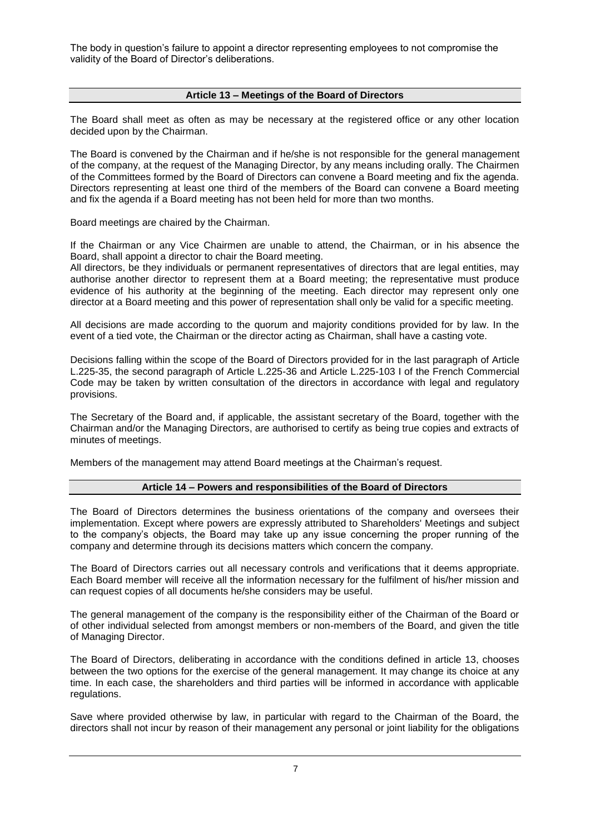The body in question's failure to appoint a director representing employees to not compromise the validity of the Board of Director's deliberations.

# **Article 13 – Meetings of the Board of Directors**

The Board shall meet as often as may be necessary at the registered office or any other location decided upon by the Chairman.

The Board is convened by the Chairman and if he/she is not responsible for the general management of the company, at the request of the Managing Director, by any means including orally. The Chairmen of the Committees formed by the Board of Directors can convene a Board meeting and fix the agenda. Directors representing at least one third of the members of the Board can convene a Board meeting and fix the agenda if a Board meeting has not been held for more than two months.

Board meetings are chaired by the Chairman.

If the Chairman or any Vice Chairmen are unable to attend, the Chairman, or in his absence the Board, shall appoint a director to chair the Board meeting.

All directors, be they individuals or permanent representatives of directors that are legal entities, may authorise another director to represent them at a Board meeting; the representative must produce evidence of his authority at the beginning of the meeting. Each director may represent only one director at a Board meeting and this power of representation shall only be valid for a specific meeting.

All decisions are made according to the quorum and majority conditions provided for by law. In the event of a tied vote, the Chairman or the director acting as Chairman, shall have a casting vote.

Decisions falling within the scope of the Board of Directors provided for in the last paragraph of Article L.225-35, the second paragraph of Article L.225-36 and Article L.225-103 I of the French Commercial Code may be taken by written consultation of the directors in accordance with legal and regulatory provisions.

The Secretary of the Board and, if applicable, the assistant secretary of the Board, together with the Chairman and/or the Managing Directors, are authorised to certify as being true copies and extracts of minutes of meetings.

Members of the management may attend Board meetings at the Chairman's request.

### **Article 14 – Powers and responsibilities of the Board of Directors**

The Board of Directors determines the business orientations of the company and oversees their implementation. Except where powers are expressly attributed to Shareholders' Meetings and subject to the company's objects, the Board may take up any issue concerning the proper running of the company and determine through its decisions matters which concern the company.

The Board of Directors carries out all necessary controls and verifications that it deems appropriate. Each Board member will receive all the information necessary for the fulfilment of his/her mission and can request copies of all documents he/she considers may be useful.

The general management of the company is the responsibility either of the Chairman of the Board or of other individual selected from amongst members or non-members of the Board, and given the title of Managing Director.

The Board of Directors, deliberating in accordance with the conditions defined in article 13, chooses between the two options for the exercise of the general management. It may change its choice at any time. In each case, the shareholders and third parties will be informed in accordance with applicable regulations.

Save where provided otherwise by law, in particular with regard to the Chairman of the Board, the directors shall not incur by reason of their management any personal or joint liability for the obligations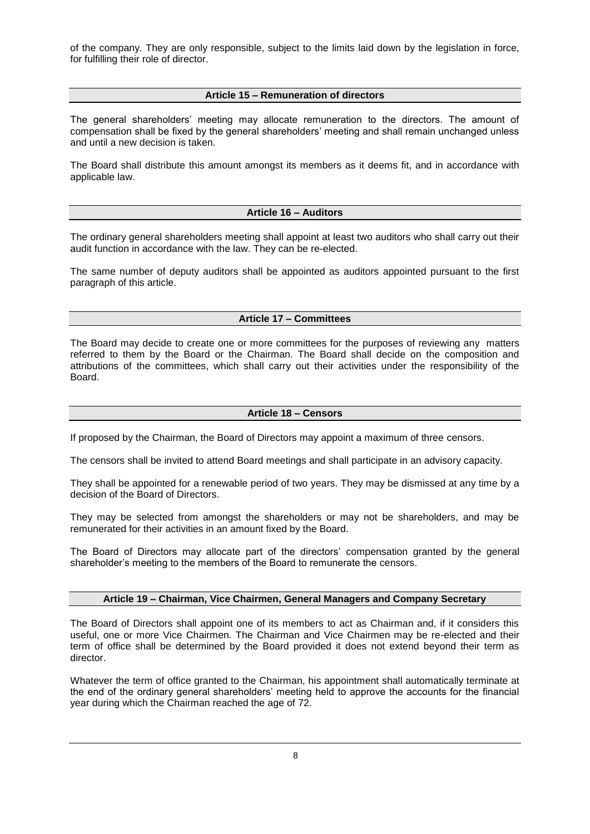of the company. They are only responsible, subject to the limits laid down by the legislation in force, for fulfilling their role of director.

# **Article 15 – Remuneration of directors**

The general shareholders' meeting may allocate remuneration to the directors. The amount of compensation shall be fixed by the general shareholders' meeting and shall remain unchanged unless and until a new decision is taken.

The Board shall distribute this amount amongst its members as it deems fit, and in accordance with applicable law.

# **Article 16 – Auditors**

The ordinary general shareholders meeting shall appoint at least two auditors who shall carry out their audit function in accordance with the law. They can be re-elected.

The same number of deputy auditors shall be appointed as auditors appointed pursuant to the first paragraph of this article.

# **Article 17 – Committees**

The Board may decide to create one or more committees for the purposes of reviewing any matters referred to them by the Board or the Chairman. The Board shall decide on the composition and attributions of the committees, which shall carry out their activities under the responsibility of the Board.

### **Article 18 – Censors**

If proposed by the Chairman, the Board of Directors may appoint a maximum of three censors.

The censors shall be invited to attend Board meetings and shall participate in an advisory capacity.

They shall be appointed for a renewable period of two years. They may be dismissed at any time by a decision of the Board of Directors.

They may be selected from amongst the shareholders or may not be shareholders, and may be remunerated for their activities in an amount fixed by the Board.

The Board of Directors may allocate part of the directors' compensation granted by the general shareholder's meeting to the members of the Board to remunerate the censors.

### **Article 19 – Chairman, Vice Chairmen, General Managers and Company Secretary**

The Board of Directors shall appoint one of its members to act as Chairman and, if it considers this useful, one or more Vice Chairmen. The Chairman and Vice Chairmen may be re-elected and their term of office shall be determined by the Board provided it does not extend beyond their term as director.

Whatever the term of office granted to the Chairman, his appointment shall automatically terminate at the end of the ordinary general shareholders' meeting held to approve the accounts for the financial year during which the Chairman reached the age of 72.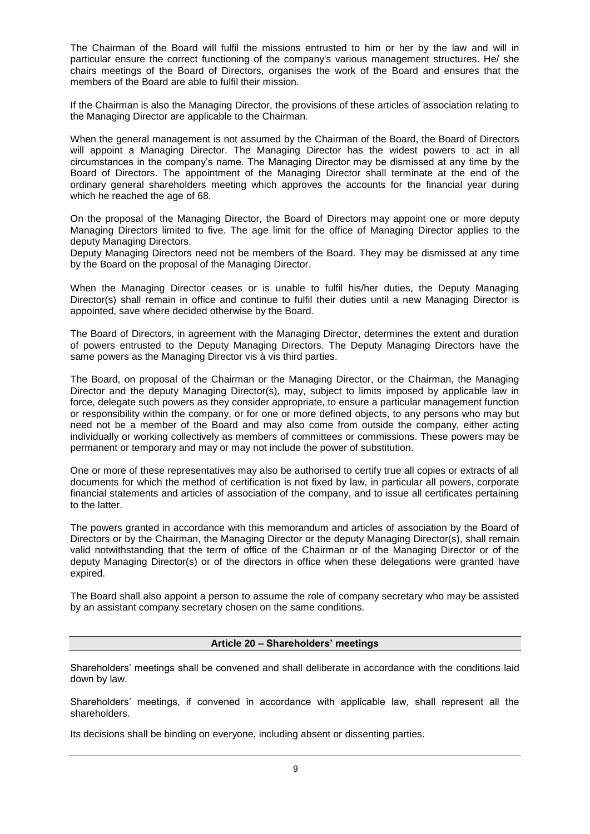The Chairman of the Board will fulfil the missions entrusted to him or her by the law and will in particular ensure the correct functioning of the company's various management structures. He/ she chairs meetings of the Board of Directors, organises the work of the Board and ensures that the members of the Board are able to fulfil their mission.

If the Chairman is also the Managing Director, the provisions of these articles of association relating to the Managing Director are applicable to the Chairman.

When the general management is not assumed by the Chairman of the Board, the Board of Directors will appoint a Managing Director. The Managing Director has the widest powers to act in all circumstances in the company's name. The Managing Director may be dismissed at any time by the Board of Directors. The appointment of the Managing Director shall terminate at the end of the ordinary general shareholders meeting which approves the accounts for the financial year during which he reached the age of 68.

On the proposal of the Managing Director, the Board of Directors may appoint one or more deputy Managing Directors limited to five. The age limit for the office of Managing Director applies to the deputy Managing Directors.

Deputy Managing Directors need not be members of the Board. They may be dismissed at any time by the Board on the proposal of the Managing Director.

When the Managing Director ceases or is unable to fulfil his/her duties, the Deputy Managing Director(s) shall remain in office and continue to fulfil their duties until a new Managing Director is appointed, save where decided otherwise by the Board.

The Board of Directors, in agreement with the Managing Director, determines the extent and duration of powers entrusted to the Deputy Managing Directors. The Deputy Managing Directors have the same powers as the Managing Director vis à vis third parties.

The Board, on proposal of the Chairman or the Managing Director, or the Chairman, the Managing Director and the deputy Managing Director(s), may, subject to limits imposed by applicable law in force, delegate such powers as they consider appropriate, to ensure a particular management function or responsibility within the company, or for one or more defined objects, to any persons who may but need not be a member of the Board and may also come from outside the company, either acting individually or working collectively as members of committees or commissions. These powers may be permanent or temporary and may or may not include the power of substitution.

One or more of these representatives may also be authorised to certify true all copies or extracts of all documents for which the method of certification is not fixed by law, in particular all powers, corporate financial statements and articles of association of the company, and to issue all certificates pertaining to the latter.

The powers granted in accordance with this memorandum and articles of association by the Board of Directors or by the Chairman, the Managing Director or the deputy Managing Director(s), shall remain valid notwithstanding that the term of office of the Chairman or of the Managing Director or of the deputy Managing Director(s) or of the directors in office when these delegations were granted have expired.

The Board shall also appoint a person to assume the role of company secretary who may be assisted by an assistant company secretary chosen on the same conditions.

### **Article 20 – Shareholders' meetings**

Shareholders' meetings shall be convened and shall deliberate in accordance with the conditions laid down by law.

Shareholders' meetings, if convened in accordance with applicable law, shall represent all the shareholders.

Its decisions shall be binding on everyone, including absent or dissenting parties.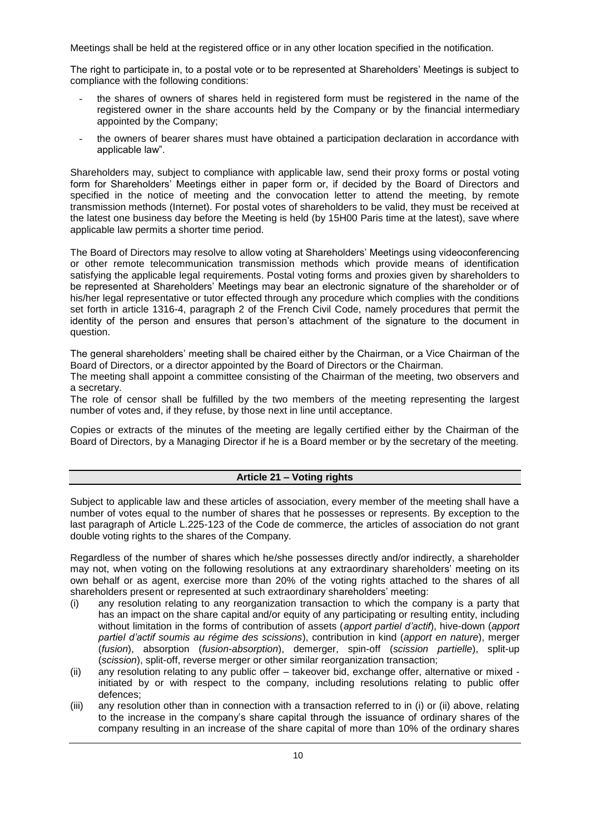Meetings shall be held at the registered office or in any other location specified in the notification.

The right to participate in, to a postal vote or to be represented at Shareholders' Meetings is subject to compliance with the following conditions:

- the shares of owners of shares held in registered form must be registered in the name of the registered owner in the share accounts held by the Company or by the financial intermediary appointed by the Company;
- the owners of bearer shares must have obtained a participation declaration in accordance with applicable law".

Shareholders may, subject to compliance with applicable law, send their proxy forms or postal voting form for Shareholders' Meetings either in paper form or, if decided by the Board of Directors and specified in the notice of meeting and the convocation letter to attend the meeting, by remote transmission methods (Internet). For postal votes of shareholders to be valid, they must be received at the latest one business day before the Meeting is held (by 15H00 Paris time at the latest), save where applicable law permits a shorter time period.

The Board of Directors may resolve to allow voting at Shareholders' Meetings using videoconferencing or other remote telecommunication transmission methods which provide means of identification satisfying the applicable legal requirements. Postal voting forms and proxies given by shareholders to be represented at Shareholders' Meetings may bear an electronic signature of the shareholder or of his/her legal representative or tutor effected through any procedure which complies with the conditions set forth in article 1316-4, paragraph 2 of the French Civil Code, namely procedures that permit the identity of the person and ensures that person's attachment of the signature to the document in question.

The general shareholders' meeting shall be chaired either by the Chairman, or a Vice Chairman of the Board of Directors, or a director appointed by the Board of Directors or the Chairman.

The meeting shall appoint a committee consisting of the Chairman of the meeting, two observers and a secretary.

The role of censor shall be fulfilled by the two members of the meeting representing the largest number of votes and, if they refuse, by those next in line until acceptance.

Copies or extracts of the minutes of the meeting are legally certified either by the Chairman of the Board of Directors, by a Managing Director if he is a Board member or by the secretary of the meeting.

### **Article 21 – Voting rights**

Subject to applicable law and these articles of association, every member of the meeting shall have a number of votes equal to the number of shares that he possesses or represents. By exception to the last paragraph of Article L.225-123 of the Code de commerce, the articles of association do not grant double voting rights to the shares of the Company.

Regardless of the number of shares which he/she possesses directly and/or indirectly, a shareholder may not, when voting on the following resolutions at any extraordinary shareholders' meeting on its own behalf or as agent, exercise more than 20% of the voting rights attached to the shares of all shareholders present or represented at such extraordinary shareholders' meeting:

- (i) any resolution relating to any reorganization transaction to which the company is a party that has an impact on the share capital and/or equity of any participating or resulting entity, including without limitation in the forms of contribution of assets (*apport partiel d'actif*), hive-down (*apport partiel d'actif soumis au régime des scissions*), contribution in kind (*apport en nature*), merger (*fusion*), absorption (*fusion-absorption*), demerger, spin-off (*scission partielle*), split-up (*scission*), split-off, reverse merger or other similar reorganization transaction;
- (ii) any resolution relating to any public offer takeover bid, exchange offer, alternative or mixed initiated by or with respect to the company, including resolutions relating to public offer defences;
- (iii) any resolution other than in connection with a transaction referred to in (i) or (ii) above, relating to the increase in the company's share capital through the issuance of ordinary shares of the company resulting in an increase of the share capital of more than 10% of the ordinary shares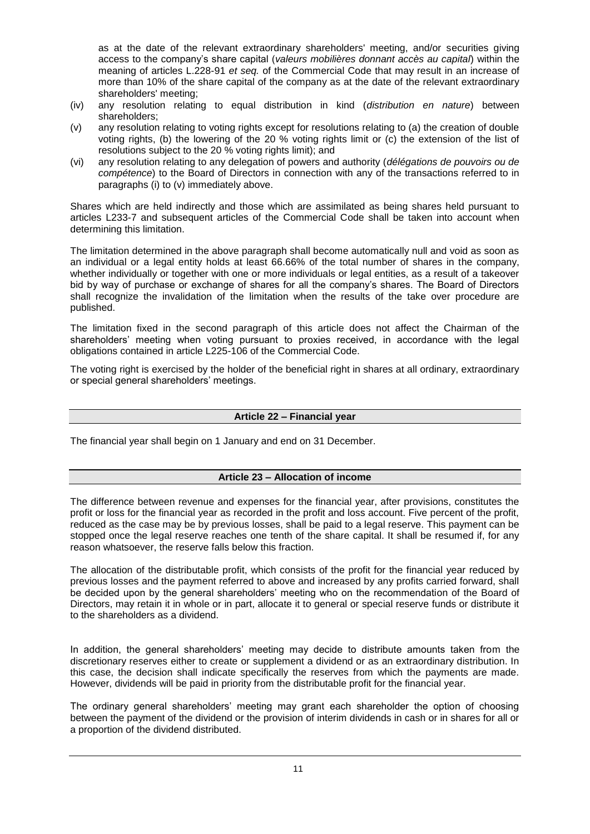as at the date of the relevant extraordinary shareholders' meeting, and/or securities giving access to the company's share capital (*valeurs mobilières donnant accès au capital*) within the meaning of articles L.228-91 *et seq.* of the Commercial Code that may result in an increase of more than 10% of the share capital of the company as at the date of the relevant extraordinary shareholders' meeting;

- (iv) any resolution relating to equal distribution in kind (*distribution en nature*) between shareholders;
- (v) any resolution relating to voting rights except for resolutions relating to (a) the creation of double voting rights, (b) the lowering of the 20 % voting rights limit or (c) the extension of the list of resolutions subject to the 20 % voting rights limit); and
- (vi) any resolution relating to any delegation of powers and authority (*délégations de pouvoirs ou de compétence*) to the Board of Directors in connection with any of the transactions referred to in paragraphs (i) to (v) immediately above.

Shares which are held indirectly and those which are assimilated as being shares held pursuant to articles L233-7 and subsequent articles of the Commercial Code shall be taken into account when determining this limitation.

The limitation determined in the above paragraph shall become automatically null and void as soon as an individual or a legal entity holds at least 66.66% of the total number of shares in the company, whether individually or together with one or more individuals or legal entities, as a result of a takeover bid by way of purchase or exchange of shares for all the company's shares. The Board of Directors shall recognize the invalidation of the limitation when the results of the take over procedure are published.

The limitation fixed in the second paragraph of this article does not affect the Chairman of the shareholders' meeting when voting pursuant to proxies received, in accordance with the legal obligations contained in article L225-106 of the Commercial Code.

The voting right is exercised by the holder of the beneficial right in shares at all ordinary, extraordinary or special general shareholders' meetings.

# **Article 22 – Financial year**

The financial year shall begin on 1 January and end on 31 December.

# **Article 23 – Allocation of income**

The difference between revenue and expenses for the financial year, after provisions, constitutes the profit or loss for the financial year as recorded in the profit and loss account. Five percent of the profit, reduced as the case may be by previous losses, shall be paid to a legal reserve. This payment can be stopped once the legal reserve reaches one tenth of the share capital. It shall be resumed if, for any reason whatsoever, the reserve falls below this fraction.

The allocation of the distributable profit, which consists of the profit for the financial year reduced by previous losses and the payment referred to above and increased by any profits carried forward, shall be decided upon by the general shareholders' meeting who on the recommendation of the Board of Directors, may retain it in whole or in part, allocate it to general or special reserve funds or distribute it to the shareholders as a dividend.

In addition, the general shareholders' meeting may decide to distribute amounts taken from the discretionary reserves either to create or supplement a dividend or as an extraordinary distribution. In this case, the decision shall indicate specifically the reserves from which the payments are made. However, dividends will be paid in priority from the distributable profit for the financial year.

The ordinary general shareholders' meeting may grant each shareholder the option of choosing between the payment of the dividend or the provision of interim dividends in cash or in shares for all or a proportion of the dividend distributed.